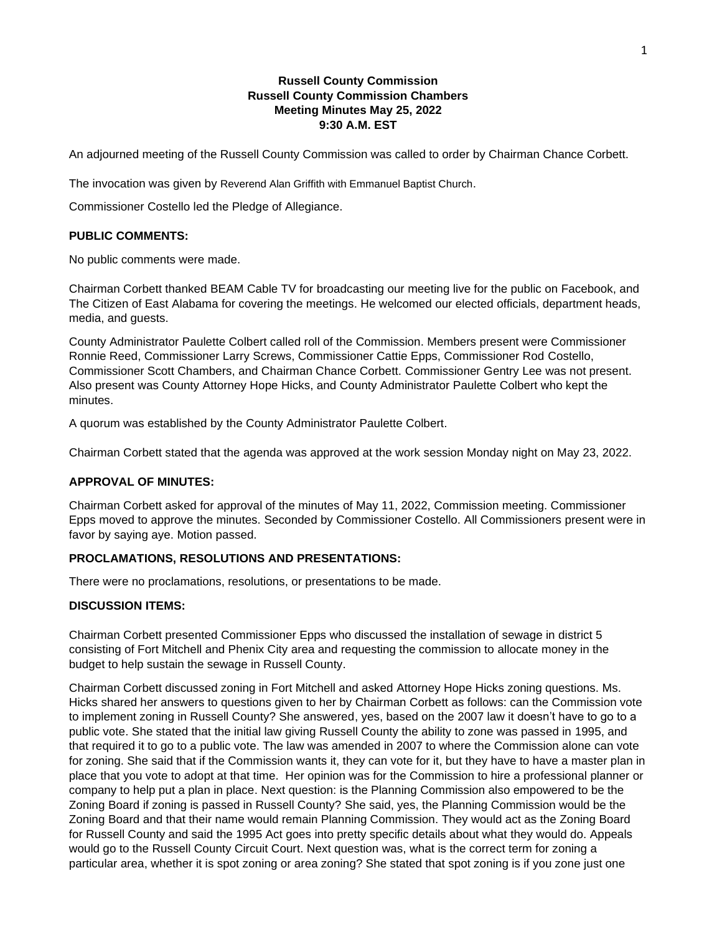## **Russell County Commission Russell County Commission Chambers Meeting Minutes May 25, 2022 9:30 A.M. EST**

An adjourned meeting of the Russell County Commission was called to order by Chairman Chance Corbett.

The invocation was given by Reverend Alan Griffith with Emmanuel Baptist Church.

Commissioner Costello led the Pledge of Allegiance.

### **PUBLIC COMMENTS:**

No public comments were made.

Chairman Corbett thanked BEAM Cable TV for broadcasting our meeting live for the public on Facebook, and The Citizen of East Alabama for covering the meetings. He welcomed our elected officials, department heads, media, and guests.

County Administrator Paulette Colbert called roll of the Commission. Members present were Commissioner Ronnie Reed, Commissioner Larry Screws, Commissioner Cattie Epps, Commissioner Rod Costello, Commissioner Scott Chambers, and Chairman Chance Corbett. Commissioner Gentry Lee was not present. Also present was County Attorney Hope Hicks, and County Administrator Paulette Colbert who kept the minutes.

A quorum was established by the County Administrator Paulette Colbert.

Chairman Corbett stated that the agenda was approved at the work session Monday night on May 23, 2022.

#### **APPROVAL OF MINUTES:**

Chairman Corbett asked for approval of the minutes of May 11, 2022, Commission meeting. Commissioner Epps moved to approve the minutes. Seconded by Commissioner Costello. All Commissioners present were in favor by saying aye. Motion passed.

### **PROCLAMATIONS, RESOLUTIONS AND PRESENTATIONS:**

There were no proclamations, resolutions, or presentations to be made.

### **DISCUSSION ITEMS:**

Chairman Corbett presented Commissioner Epps who discussed the installation of sewage in district 5 consisting of Fort Mitchell and Phenix City area and requesting the commission to allocate money in the budget to help sustain the sewage in Russell County.

Chairman Corbett discussed zoning in Fort Mitchell and asked Attorney Hope Hicks zoning questions. Ms. Hicks shared her answers to questions given to her by Chairman Corbett as follows: can the Commission vote to implement zoning in Russell County? She answered, yes, based on the 2007 law it doesn't have to go to a public vote. She stated that the initial law giving Russell County the ability to zone was passed in 1995, and that required it to go to a public vote. The law was amended in 2007 to where the Commission alone can vote for zoning. She said that if the Commission wants it, they can vote for it, but they have to have a master plan in place that you vote to adopt at that time. Her opinion was for the Commission to hire a professional planner or company to help put a plan in place. Next question: is the Planning Commission also empowered to be the Zoning Board if zoning is passed in Russell County? She said, yes, the Planning Commission would be the Zoning Board and that their name would remain Planning Commission. They would act as the Zoning Board for Russell County and said the 1995 Act goes into pretty specific details about what they would do. Appeals would go to the Russell County Circuit Court. Next question was, what is the correct term for zoning a particular area, whether it is spot zoning or area zoning? She stated that spot zoning is if you zone just one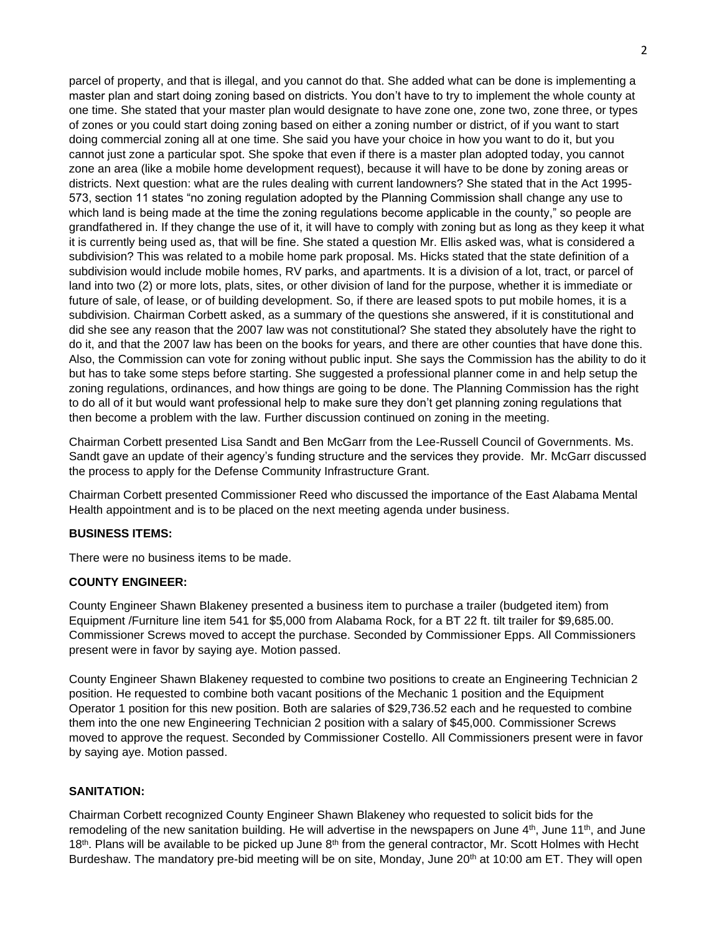parcel of property, and that is illegal, and you cannot do that. She added what can be done is implementing a master plan and start doing zoning based on districts. You don't have to try to implement the whole county at one time. She stated that your master plan would designate to have zone one, zone two, zone three, or types of zones or you could start doing zoning based on either a zoning number or district, of if you want to start doing commercial zoning all at one time. She said you have your choice in how you want to do it, but you cannot just zone a particular spot. She spoke that even if there is a master plan adopted today, you cannot zone an area (like a mobile home development request), because it will have to be done by zoning areas or districts. Next question: what are the rules dealing with current landowners? She stated that in the Act 1995- 573, section 11 states "no zoning regulation adopted by the Planning Commission shall change any use to which land is being made at the time the zoning regulations become applicable in the county," so people are grandfathered in. If they change the use of it, it will have to comply with zoning but as long as they keep it what it is currently being used as, that will be fine. She stated a question Mr. Ellis asked was, what is considered a subdivision? This was related to a mobile home park proposal. Ms. Hicks stated that the state definition of a subdivision would include mobile homes, RV parks, and apartments. It is a division of a lot, tract, or parcel of land into two (2) or more lots, plats, sites, or other division of land for the purpose, whether it is immediate or future of sale, of lease, or of building development. So, if there are leased spots to put mobile homes, it is a subdivision. Chairman Corbett asked, as a summary of the questions she answered, if it is constitutional and did she see any reason that the 2007 law was not constitutional? She stated they absolutely have the right to do it, and that the 2007 law has been on the books for years, and there are other counties that have done this. Also, the Commission can vote for zoning without public input. She says the Commission has the ability to do it but has to take some steps before starting. She suggested a professional planner come in and help setup the zoning regulations, ordinances, and how things are going to be done. The Planning Commission has the right to do all of it but would want professional help to make sure they don't get planning zoning regulations that then become a problem with the law. Further discussion continued on zoning in the meeting.

Chairman Corbett presented Lisa Sandt and Ben McGarr from the Lee-Russell Council of Governments. Ms. Sandt gave an update of their agency's funding structure and the services they provide. Mr. McGarr discussed the process to apply for the Defense Community Infrastructure Grant.

Chairman Corbett presented Commissioner Reed who discussed the importance of the East Alabama Mental Health appointment and is to be placed on the next meeting agenda under business.

## **BUSINESS ITEMS:**

There were no business items to be made.

### **COUNTY ENGINEER:**

County Engineer Shawn Blakeney presented a business item to purchase a trailer (budgeted item) from Equipment /Furniture line item 541 for \$5,000 from Alabama Rock, for a BT 22 ft. tilt trailer for \$9,685.00. Commissioner Screws moved to accept the purchase. Seconded by Commissioner Epps. All Commissioners present were in favor by saying aye. Motion passed.

County Engineer Shawn Blakeney requested to combine two positions to create an Engineering Technician 2 position. He requested to combine both vacant positions of the Mechanic 1 position and the Equipment Operator 1 position for this new position. Both are salaries of \$29,736.52 each and he requested to combine them into the one new Engineering Technician 2 position with a salary of \$45,000. Commissioner Screws moved to approve the request. Seconded by Commissioner Costello. All Commissioners present were in favor by saying aye. Motion passed.

### **SANITATION:**

Chairman Corbett recognized County Engineer Shawn Blakeney who requested to solicit bids for the remodeling of the new sanitation building. He will advertise in the newspapers on June 4<sup>th</sup>, June 11<sup>th</sup>, and June 18<sup>th</sup>. Plans will be available to be picked up June 8<sup>th</sup> from the general contractor, Mr. Scott Holmes with Hecht Burdeshaw. The mandatory pre-bid meeting will be on site, Monday, June 20<sup>th</sup> at 10:00 am ET. They will open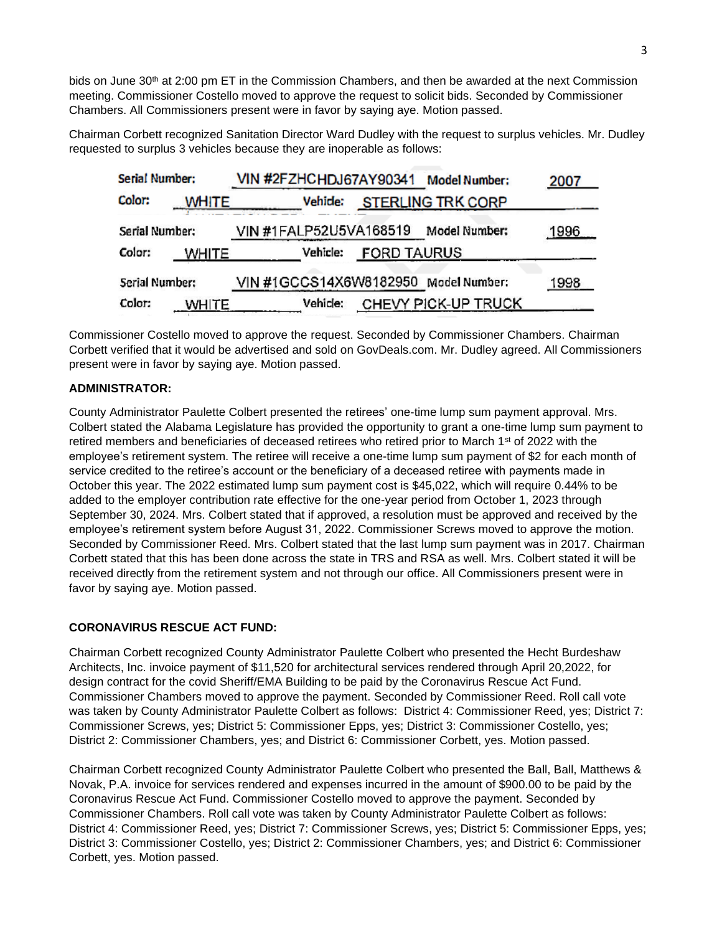bids on June 30<sup>th</sup> at 2:00 pm ET in the Commission Chambers, and then be awarded at the next Commission meeting. Commissioner Costello moved to approve the request to solicit bids. Seconded by Commissioner Chambers. All Commissioners present were in favor by saying aye. Motion passed.

Chairman Corbett recognized Sanitation Director Ward Dudley with the request to surplus vehicles. Mr. Dudley requested to surplus 3 vehicles because they are inoperable as follows:

| Serial Number: |              | VIN #2FZHCHDJ67AY90341 Model Number: |                    |                          | 2007 |
|----------------|--------------|--------------------------------------|--------------------|--------------------------|------|
| Color:         | <b>WHITE</b> | Vehide:                              |                    | <b>STERLING TRK CORP</b> |      |
| Serial Number: |              | VIN #1FALP52U5VA168519               |                    | Model Number:            | 1996 |
| Color:         | <b>WHITE</b> | Vehicle:                             | <b>FORD TAURUS</b> |                          |      |
| Serial Number: |              | VIN #1GCCS14X6W8182950 Model Number: |                    |                          | 1998 |
| Color:         | <b>WHITE</b> | Vehicle:                             |                    | CHEVY PICK-UP TRUCK      |      |

Commissioner Costello moved to approve the request. Seconded by Commissioner Chambers. Chairman Corbett verified that it would be advertised and sold on GovDeals.com. Mr. Dudley agreed. All Commissioners present were in favor by saying aye. Motion passed.

## **ADMINISTRATOR:**

County Administrator Paulette Colbert presented the retirees' one-time lump sum payment approval. Mrs. Colbert stated the Alabama Legislature has provided the opportunity to grant a one-time lump sum payment to retired members and beneficiaries of deceased retirees who retired prior to March 1<sup>st</sup> of 2022 with the employee's retirement system. The retiree will receive a one-time lump sum payment of \$2 for each month of service credited to the retiree's account or the beneficiary of a deceased retiree with payments made in October this year. The 2022 estimated lump sum payment cost is \$45,022, which will require 0.44% to be added to the employer contribution rate effective for the one-year period from October 1, 2023 through September 30, 2024. Mrs. Colbert stated that if approved, a resolution must be approved and received by the employee's retirement system before August 31, 2022. Commissioner Screws moved to approve the motion. Seconded by Commissioner Reed. Mrs. Colbert stated that the last lump sum payment was in 2017. Chairman Corbett stated that this has been done across the state in TRS and RSA as well. Mrs. Colbert stated it will be received directly from the retirement system and not through our office. All Commissioners present were in favor by saying aye. Motion passed.

### **CORONAVIRUS RESCUE ACT FUND:**

Chairman Corbett recognized County Administrator Paulette Colbert who presented the Hecht Burdeshaw Architects, Inc. invoice payment of \$11,520 for architectural services rendered through April 20,2022, for design contract for the covid Sheriff/EMA Building to be paid by the Coronavirus Rescue Act Fund. Commissioner Chambers moved to approve the payment. Seconded by Commissioner Reed. Roll call vote was taken by County Administrator Paulette Colbert as follows: District 4: Commissioner Reed, yes; District 7: Commissioner Screws, yes; District 5: Commissioner Epps, yes; District 3: Commissioner Costello, yes; District 2: Commissioner Chambers, yes; and District 6: Commissioner Corbett, yes. Motion passed.

Chairman Corbett recognized County Administrator Paulette Colbert who presented the Ball, Ball, Matthews & Novak, P.A. invoice for services rendered and expenses incurred in the amount of \$900.00 to be paid by the Coronavirus Rescue Act Fund. Commissioner Costello moved to approve the payment. Seconded by Commissioner Chambers. Roll call vote was taken by County Administrator Paulette Colbert as follows: District 4: Commissioner Reed, yes; District 7: Commissioner Screws, yes; District 5: Commissioner Epps, yes; District 3: Commissioner Costello, yes; District 2: Commissioner Chambers, yes; and District 6: Commissioner Corbett, yes. Motion passed.